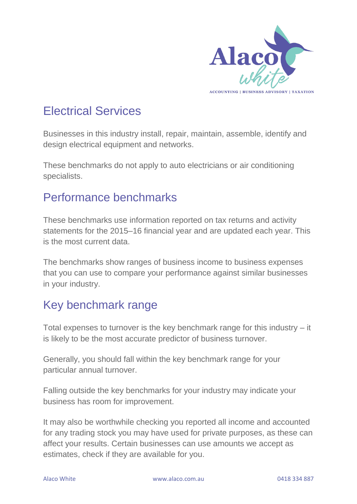

# Electrical Services

Businesses in this industry install, repair, maintain, assemble, identify and design electrical equipment and networks.

These benchmarks do not apply to auto electricians or air conditioning specialists.

### Performance benchmarks

These benchmarks use information reported on tax returns and activity statements for the 2015–16 financial year and are updated each year. This is the most current data.

The benchmarks show ranges of business income to business expenses that you can use to compare your performance against similar businesses in your industry.

## Key benchmark range

Total expenses to turnover is the key benchmark range for this industry – it is likely to be the most accurate predictor of business turnover.

Generally, you should fall within the key benchmark range for your particular annual turnover.

Falling outside the key benchmarks for your industry may indicate your business has room for improvement.

It may also be worthwhile checking you reported all income and accounted for any trading stock you may have used for private purposes, as these can affect your results. Certain businesses can use amounts we accept as estimates, check if they are available for you.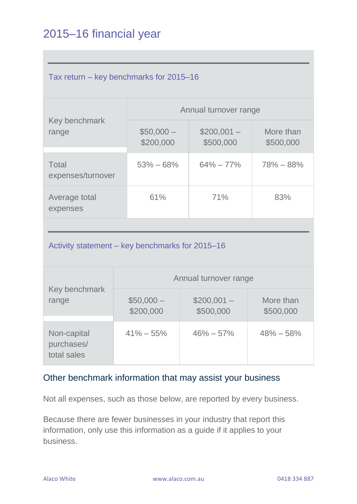# 2015–16 financial year

| Tax return – key benchmarks for 2015–16 |                         |                          |                        |  |  |
|-----------------------------------------|-------------------------|--------------------------|------------------------|--|--|
| Key benchmark<br>range                  | Annual turnover range   |                          |                        |  |  |
|                                         | $$50,000-$<br>\$200,000 | $$200,001-$<br>\$500,000 | More than<br>\$500,000 |  |  |
| Total<br>expenses/turnover              | $53\% - 68\%$           | $64\% - 77\%$            | $78\% - 88\%$          |  |  |
| Average total<br>expenses               | 61%                     | 71%                      | 83%                    |  |  |

#### Activity statement – key benchmarks for 2015–16

| Key benchmark<br>range                   | Annual turnover range   |                          |                        |  |
|------------------------------------------|-------------------------|--------------------------|------------------------|--|
|                                          | $$50,000-$<br>\$200,000 | $$200,001-$<br>\$500,000 | More than<br>\$500,000 |  |
| Non-capital<br>purchases/<br>total sales | $41\% - 55\%$           | $46\% - 57\%$            | $48\% - 58\%$          |  |

#### Other benchmark information that may assist your business

Not all expenses, such as those below, are reported by every business.

Because there are fewer businesses in your industry that report this information, only use this information as a guide if it applies to your business.